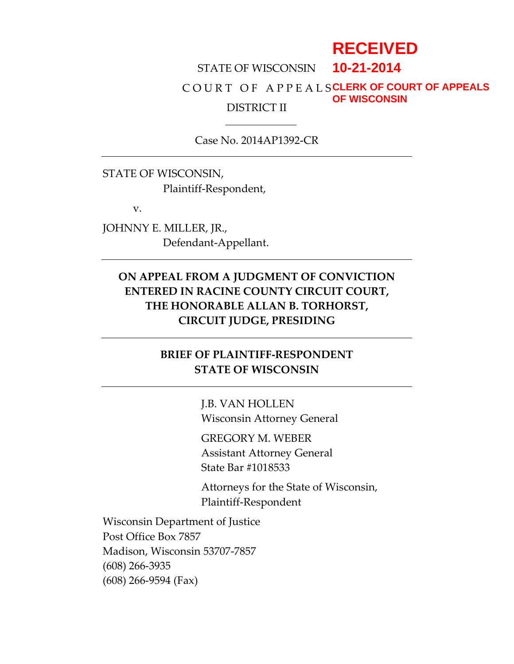# **RECEIVED**

#### STATE OF WISCONSIN C O U R T O F A P P E A L S **CLERK OF COURT OF APPEALS** DISTRICT II **10-21-2014 OF WISCONSIN**

Case No. 2014AP1392-CR

STATE OF WISCONSIN, Plaintiff-Respondent,

v.

JOHNNY E. MILLER, JR., Defendant-Appellant.

# **ON APPEAL FROM A JUDGMENT OF CONVICTION ENTERED IN RACINE COUNTY CIRCUIT COURT, THE HONORABLE ALLAN B. TORHORST, CIRCUIT JUDGE, PRESIDING**

# **BRIEF OF PLAINTIFF-RESPONDENT STATE OF WISCONSIN**

J.B. VAN HOLLEN Wisconsin Attorney General

GREGORY M. WEBER Assistant Attorney General State Bar #1018533

Attorneys for the State of Wisconsin, Plaintiff-Respondent

Wisconsin Department of Justice Post Office Box 7857 Madison, Wisconsin 53707-7857 (608) 266-3935 (608) 266-9594 (Fax)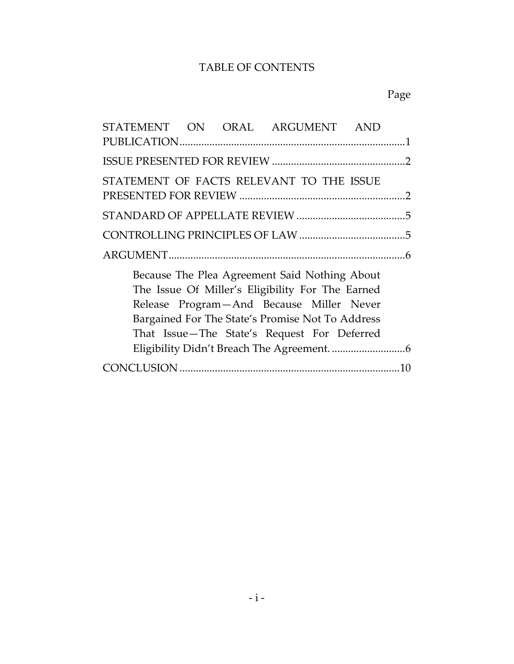# TABLE OF CONTENTS

# Page

|  |  |  |  | STATEMENT ON ORAL ARGUMENT AND                                                                                                                                                                                                                   |  |  |
|--|--|--|--|--------------------------------------------------------------------------------------------------------------------------------------------------------------------------------------------------------------------------------------------------|--|--|
|  |  |  |  |                                                                                                                                                                                                                                                  |  |  |
|  |  |  |  |                                                                                                                                                                                                                                                  |  |  |
|  |  |  |  | STATEMENT OF FACTS RELEVANT TO THE ISSUE                                                                                                                                                                                                         |  |  |
|  |  |  |  |                                                                                                                                                                                                                                                  |  |  |
|  |  |  |  |                                                                                                                                                                                                                                                  |  |  |
|  |  |  |  |                                                                                                                                                                                                                                                  |  |  |
|  |  |  |  | Because The Plea Agreement Said Nothing About<br>The Issue Of Miller's Eligibility For The Earned<br>Release Program-And Because Miller Never<br>Bargained For The State's Promise Not To Address<br>That Issue-The State's Request For Deferred |  |  |
|  |  |  |  |                                                                                                                                                                                                                                                  |  |  |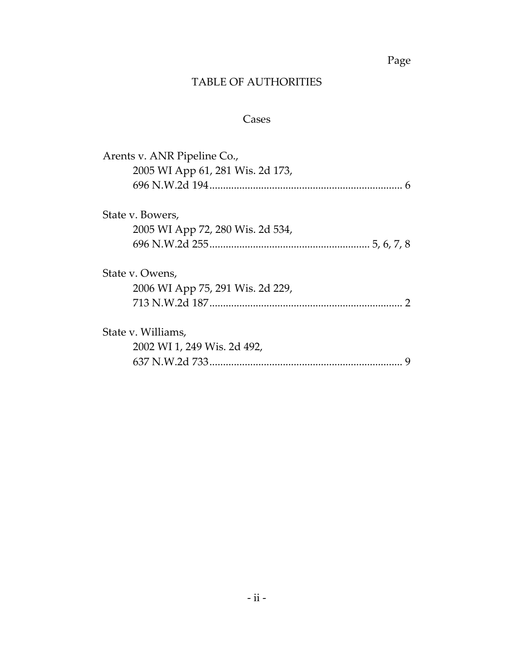Page

# TABLE OF AUTHORITIES

# Cases

| Arents v. ANR Pipeline Co.,      |  |  |  |  |  |
|----------------------------------|--|--|--|--|--|
| 2005 WI App 61, 281 Wis. 2d 173, |  |  |  |  |  |
|                                  |  |  |  |  |  |
| State v. Bowers,                 |  |  |  |  |  |
| 2005 WI App 72, 280 Wis. 2d 534, |  |  |  |  |  |
|                                  |  |  |  |  |  |
| State v. Owens,                  |  |  |  |  |  |
| 2006 WI App 75, 291 Wis. 2d 229, |  |  |  |  |  |
|                                  |  |  |  |  |  |
| State v. Williams,               |  |  |  |  |  |
| 2002 WI 1, 249 Wis. 2d 492,      |  |  |  |  |  |
|                                  |  |  |  |  |  |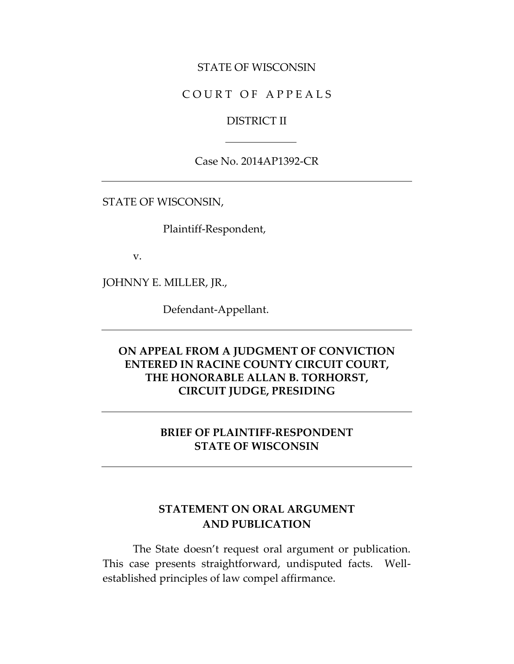### STATE OF WISCONSIN

### COURT OF APPEALS

### DISTRICT II

Case No. 2014AP1392-CR

STATE OF WISCONSIN,

Plaintiff-Respondent,

v.

JOHNNY E. MILLER, JR.,

Defendant-Appellant.

## **ON APPEAL FROM A JUDGMENT OF CONVICTION ENTERED IN RACINE COUNTY CIRCUIT COURT, THE HONORABLE ALLAN B. TORHORST, CIRCUIT JUDGE, PRESIDING**

## **BRIEF OF PLAINTIFF-RESPONDENT STATE OF WISCONSIN**

## **STATEMENT ON ORAL ARGUMENT AND PUBLICATION**

The State doesn't request oral argument or publication. This case presents straightforward, undisputed facts. Wellestablished principles of law compel affirmance.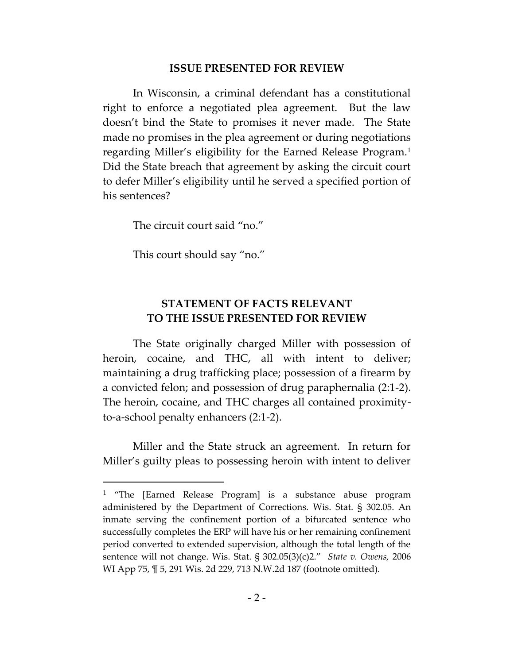#### **ISSUE PRESENTED FOR REVIEW**

In Wisconsin, a criminal defendant has a constitutional right to enforce a negotiated plea agreement. But the law doesn't bind the State to promises it never made. The State made no promises in the plea agreement or during negotiations regarding Miller's eligibility for the Earned Release Program.<sup>1</sup> Did the State breach that agreement by asking the circuit court to defer Miller's eligibility until he served a specified portion of his sentences?

The circuit court said "no."

This court should say "no."

 $\overline{a}$ 

## **STATEMENT OF FACTS RELEVANT TO THE ISSUE PRESENTED FOR REVIEW**

The State originally charged Miller with possession of heroin, cocaine, and THC, all with intent to deliver; maintaining a drug trafficking place; possession of a firearm by a convicted felon; and possession of drug paraphernalia (2:1-2). The heroin, cocaine, and THC charges all contained proximityto-a-school penalty enhancers (2:1-2).

Miller and the State struck an agreement. In return for Miller's guilty pleas to possessing heroin with intent to deliver

<sup>&</sup>lt;sup>1</sup> "The [Earned Release Program] is a substance abuse program administered by the Department of Corrections. Wis. Stat. § 302.05. An inmate serving the confinement portion of a bifurcated sentence who successfully completes the ERP will have his or her remaining confinement period converted to extended supervision, although the total length of the sentence will not change. Wis. Stat. § 302.05(3)(c)2." *State v. Owens,* 2006 WI App 75, ¶ 5, 291 Wis. 2d 229, 713 N.W.2d 187 (footnote omitted).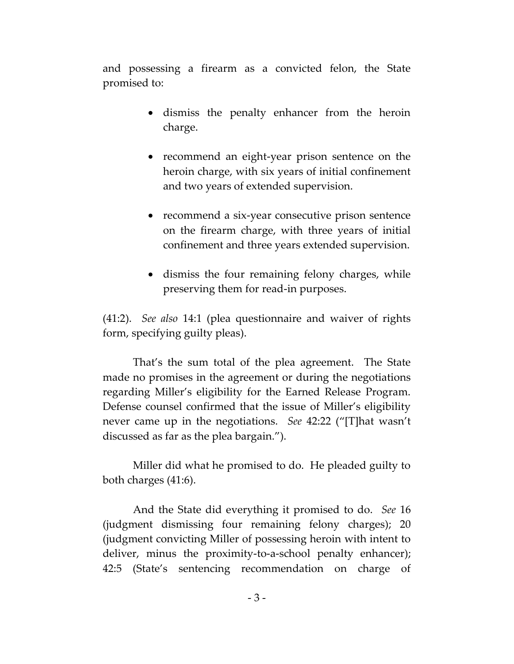and possessing a firearm as a convicted felon, the State promised to:

- dismiss the penalty enhancer from the heroin charge.
- recommend an eight-year prison sentence on the heroin charge, with six years of initial confinement and two years of extended supervision.
- recommend a six-year consecutive prison sentence on the firearm charge, with three years of initial confinement and three years extended supervision.
- dismiss the four remaining felony charges, while preserving them for read-in purposes.

(41:2). *See also* 14:1 (plea questionnaire and waiver of rights form, specifying guilty pleas).

That's the sum total of the plea agreement. The State made no promises in the agreement or during the negotiations regarding Miller's eligibility for the Earned Release Program. Defense counsel confirmed that the issue of Miller's eligibility never came up in the negotiations. *See* 42:22 ("[T]hat wasn't discussed as far as the plea bargain.").

Miller did what he promised to do. He pleaded guilty to both charges (41:6).

And the State did everything it promised to do. *See* 16 (judgment dismissing four remaining felony charges); 20 (judgment convicting Miller of possessing heroin with intent to deliver, minus the proximity-to-a-school penalty enhancer); 42:5 (State's sentencing recommendation on charge of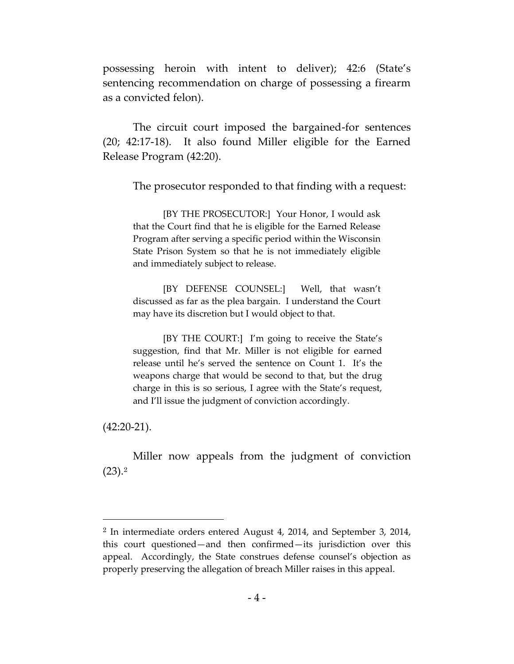possessing heroin with intent to deliver); 42:6 (State's sentencing recommendation on charge of possessing a firearm as a convicted felon).

The circuit court imposed the bargained-for sentences (20; 42:17-18). It also found Miller eligible for the Earned Release Program (42:20).

The prosecutor responded to that finding with a request:

[BY THE PROSECUTOR:] Your Honor, I would ask that the Court find that he is eligible for the Earned Release Program after serving a specific period within the Wisconsin State Prison System so that he is not immediately eligible and immediately subject to release.

[BY DEFENSE COUNSEL:] Well, that wasn't discussed as far as the plea bargain. I understand the Court may have its discretion but I would object to that.

[BY THE COURT:] I'm going to receive the State's suggestion, find that Mr. Miller is not eligible for earned release until he's served the sentence on Count 1. It's the weapons charge that would be second to that, but the drug charge in this is so serious, I agree with the State's request, and I'll issue the judgment of conviction accordingly.

(42:20-21).

 $\overline{a}$ 

Miller now appeals from the judgment of conviction  $(23).<sup>2</sup>$ 

<sup>2</sup> In intermediate orders entered August 4, 2014, and September 3, 2014, this court questioned—and then confirmed—its jurisdiction over this appeal. Accordingly, the State construes defense counsel's objection as properly preserving the allegation of breach Miller raises in this appeal.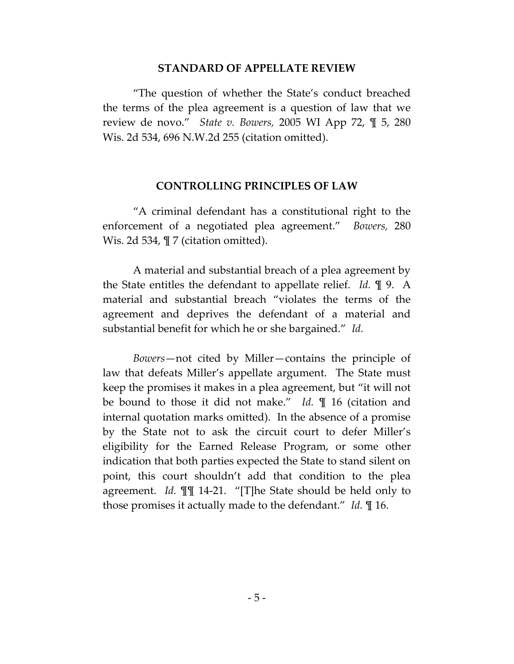#### **STANDARD OF APPELLATE REVIEW**

"The question of whether the State's conduct breached the terms of the plea agreement is a question of law that we review de novo." *State v. Bowers,* 2005 WI App 72, ¶ 5, 280 Wis. 2d 534, 696 N.W.2d 255 (citation omitted).

#### **CONTROLLING PRINCIPLES OF LAW**

"A criminal defendant has a constitutional right to the enforcement of a negotiated plea agreement." *Bowers,* 280 Wis. 2d 534,  $\P$  7 (citation omitted).

A material and substantial breach of a plea agreement by the State entitles the defendant to appellate relief. *Id.* ¶ 9. A material and substantial breach "violates the terms of the agreement and deprives the defendant of a material and substantial benefit for which he or she bargained." *Id.*

*Bowers*—not cited by Miller—contains the principle of law that defeats Miller's appellate argument. The State must keep the promises it makes in a plea agreement, but "it will not be bound to those it did not make." *Id.* ¶ 16 (citation and internal quotation marks omitted). In the absence of a promise by the State not to ask the circuit court to defer Miller's eligibility for the Earned Release Program, or some other indication that both parties expected the State to stand silent on point, this court shouldn't add that condition to the plea agreement. *Id.* ¶¶ 14-21. "[T]he State should be held only to those promises it actually made to the defendant." *Id.* ¶ 16.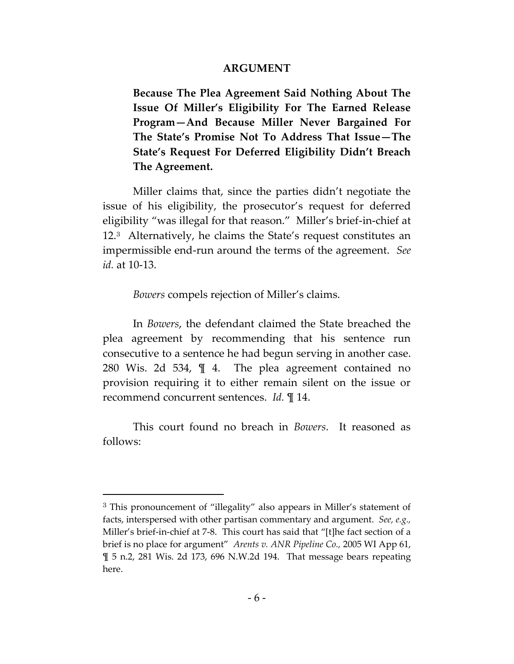#### **ARGUMENT**

**Because The Plea Agreement Said Nothing About The Issue Of Miller's Eligibility For The Earned Release Program—And Because Miller Never Bargained For The State's Promise Not To Address That Issue—The State's Request For Deferred Eligibility Didn't Breach The Agreement.** 

Miller claims that, since the parties didn't negotiate the issue of his eligibility, the prosecutor's request for deferred eligibility "was illegal for that reason." Miller's brief-in-chief at 12.<sup>3</sup> Alternatively, he claims the State's request constitutes an impermissible end-run around the terms of the agreement. *See id.* at 10-13.

*Bowers* compels rejection of Miller's claims.

In *Bowers*, the defendant claimed the State breached the plea agreement by recommending that his sentence run consecutive to a sentence he had begun serving in another case. 280 Wis. 2d 534, ¶ 4. The plea agreement contained no provision requiring it to either remain silent on the issue or recommend concurrent sentences. *Id.* ¶ 14.

This court found no breach in *Bowers*. It reasoned as follows:

 $\overline{a}$ 

<sup>3</sup> This pronouncement of "illegality" also appears in Miller's statement of facts, interspersed with other partisan commentary and argument. *See, e.g.,*  Miller's brief-in-chief at 7-8. This court has said that "[t]he fact section of a brief is no place for argument" *Arents v. ANR Pipeline Co.,* 2005 WI App 61, ¶ 5 n.2, 281 Wis. 2d 173, 696 N.W.2d 194. That message bears repeating here.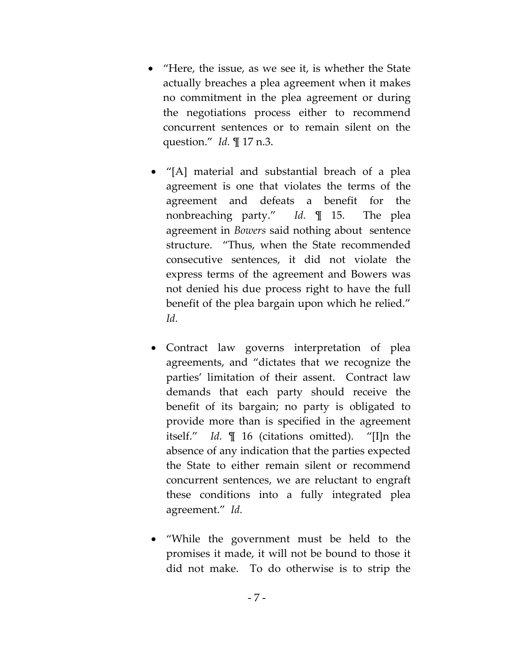- "Here, the issue, as we see it, is whether the State actually breaches a plea agreement when it makes no commitment in the plea agreement or during the negotiations process either to recommend concurrent sentences or to remain silent on the question." *Id.* ¶ 17 n.3.
	- "[A] material and substantial breach of a plea agreement is one that violates the terms of the agreement and defeats a benefit for the nonbreaching party." *Id.* ¶ 15. The plea agreement in *Bowers* said nothing about sentence structure. "Thus, when the State recommended consecutive sentences, it did not violate the express terms of the agreement and Bowers was not denied his due process right to have the full benefit of the plea bargain upon which he relied." *Id.*
- Contract law governs interpretation of plea agreements, and "dictates that we recognize the parties' limitation of their assent. Contract law demands that each party should receive the benefit of its bargain; no party is obligated to provide more than is specified in the agreement itself." *Id.* ¶ 16 (citations omitted). "[I]n the absence of any indication that the parties expected the State to either remain silent or recommend concurrent sentences, we are reluctant to engraft these conditions into a fully integrated plea agreement." *Id.*
- "While the government must be held to the promises it made, it will not be bound to those it did not make. To do otherwise is to strip the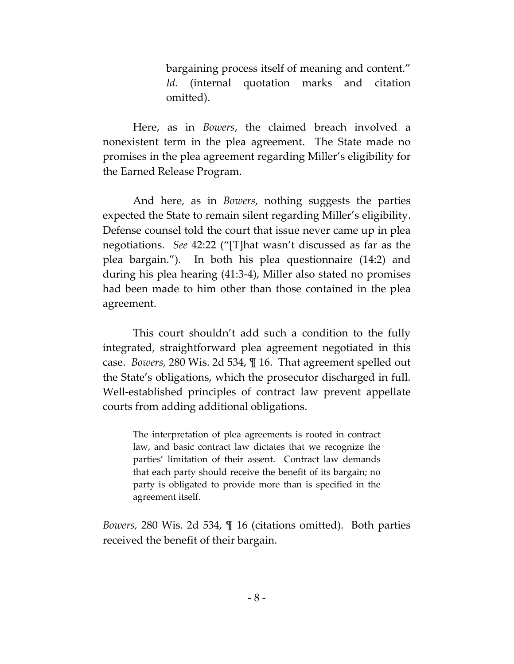bargaining process itself of meaning and content." *Id.* (internal quotation marks and citation omitted).

Here, as in *Bowers*, the claimed breach involved a nonexistent term in the plea agreement. The State made no promises in the plea agreement regarding Miller's eligibility for the Earned Release Program.

And here, as in *Bowers*, nothing suggests the parties expected the State to remain silent regarding Miller's eligibility. Defense counsel told the court that issue never came up in plea negotiations. *See* 42:22 ("[T]hat wasn't discussed as far as the plea bargain."). In both his plea questionnaire (14:2) and during his plea hearing (41:3-4), Miller also stated no promises had been made to him other than those contained in the plea agreement.

This court shouldn't add such a condition to the fully integrated, straightforward plea agreement negotiated in this case. *Bowers,* 280 Wis. 2d 534, ¶ 16. That agreement spelled out the State's obligations, which the prosecutor discharged in full. Well-established principles of contract law prevent appellate courts from adding additional obligations.

The interpretation of plea agreements is rooted in contract law, and basic contract law dictates that we recognize the parties' limitation of their assent. Contract law demands that each party should receive the benefit of its bargain; no party is obligated to provide more than is specified in the agreement itself.

*Bowers,* 280 Wis. 2d 534, ¶ 16 (citations omitted). Both parties received the benefit of their bargain.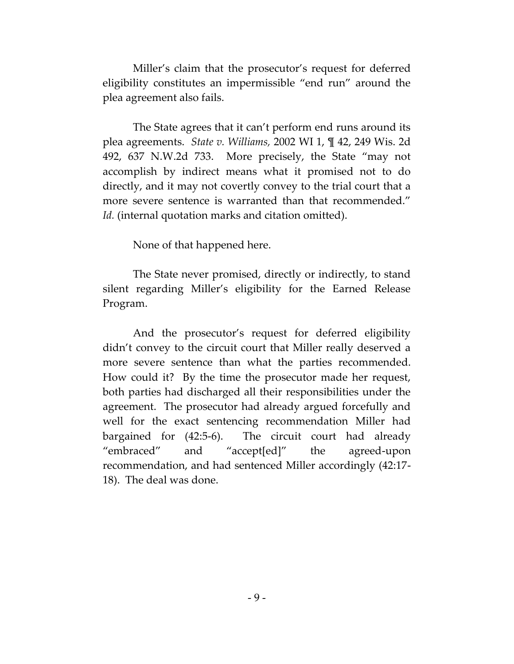Miller's claim that the prosecutor's request for deferred eligibility constitutes an impermissible "end run" around the plea agreement also fails.

The State agrees that it can't perform end runs around its plea agreements. *State v. Williams,* 2002 WI 1, ¶ 42, 249 Wis. 2d 492, 637 N.W.2d 733. More precisely, the State "may not accomplish by indirect means what it promised not to do directly, and it may not covertly convey to the trial court that a more severe sentence is warranted than that recommended." Id. (internal quotation marks and citation omitted).

None of that happened here.

The State never promised, directly or indirectly, to stand silent regarding Miller's eligibility for the Earned Release Program.

And the prosecutor's request for deferred eligibility didn't convey to the circuit court that Miller really deserved a more severe sentence than what the parties recommended. How could it? By the time the prosecutor made her request, both parties had discharged all their responsibilities under the agreement. The prosecutor had already argued forcefully and well for the exact sentencing recommendation Miller had bargained for (42:5-6). The circuit court had already "embraced" and "accept[ed]" the agreed-upon recommendation, and had sentenced Miller accordingly (42:17- 18). The deal was done.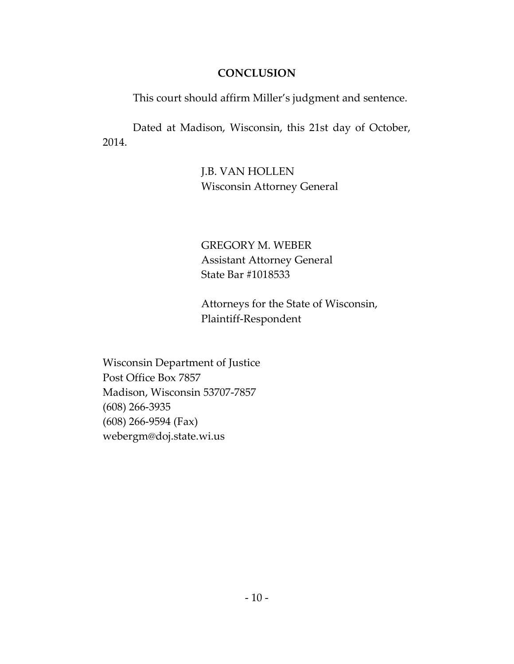## **CONCLUSION**

This court should affirm Miller's judgment and sentence.

Dated at Madison, Wisconsin, this 21st day of October, 2014.

> J.B. VAN HOLLEN Wisconsin Attorney General

GREGORY M. WEBER Assistant Attorney General State Bar #1018533

Attorneys for the State of Wisconsin, Plaintiff-Respondent

Wisconsin Department of Justice Post Office Box 7857 Madison, Wisconsin 53707-7857 (608) 266-3935 (608) 266-9594 (Fax) webergm@doj.state.wi.us